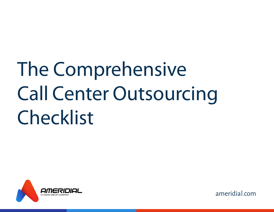# **The Comprehensive Call Center Outsourcing Checklist**

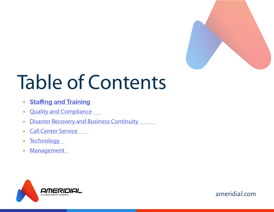

## **Table of Contents**

- **Staffing and Training •**
- **• Quality and Compliance**
- **• Disaster Recovery and Business Continuity**
- **• Call Center Service**
- **• Technology**
- **• Management**



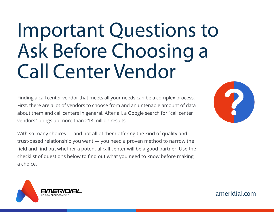### **Important Questions to Ask Before Choosing a Call Center Vendor**

Finding a call center vendor that meets all your needs can be a complex process. First, there are a lot of vendors to choose from and an untenable amount of data about them and call centers in general. After all, a Google search for "call center vendors" brings up more than 218 million results.

With so many choices — and not all of them offering the kind of quality and trust-based relationship you want — you need a proven method to narrow the field and find out whether a potential call center will be a good partner. Use the checklist of questions below to find out what you need to know before making a choice.



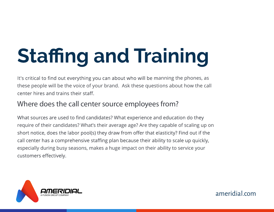# **Staffing and Training**

It's critical to find out everything you can about who will be manning the phones, as these people will be the voice of your brand. Ask these questions about how the call center hires and trains their staff.

#### **Where does the call center source employees from?**

What sources are used to find candidates? What experience and education do they require of their candidates? What's their average age? Are they capable of scaling up on short notice, does the labor pool(s) they draw from offer that elasticity? Find out if the call center has a comprehensive staffing plan because their ability to scale up quickly, especially during busy seasons, makes a huge impact on their ability to service your customers effectively.

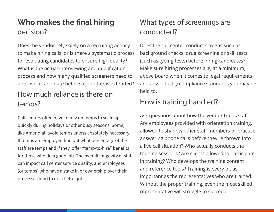#### Who makes the final hiring **decision?**

Does the vendor rely solely on a recruiting agency to make hiring calls, or is there a systematic process for evaluating candidates to ensure high quality? What is the actual interviewing and qualification process and how many qualified screeners need to approve a candidate before a job offer is extended?

#### **How much reliance is there on temps?**

Call centers often have to rely on temps to scale up quickly during holidays or other busy seasons. Some, like Ameridial, avoid temps unless absolutely necessary. If temps are employed find out what percentage of the staff are temps and if they offer "temp-to-hire" benefits for those who do a good job. The overall longevity of staff can impact call center service quality, and employees (or temps) who have a stake in or ownership over their processes tend to do a better job.

#### **What types of screenings are conducted?**

Does the call center conduct screens such as background checks, drug screening or skill tests (such as typing tests) before hiring candidates? Make sure hiring processes are, at a minimum, above board when it comes to legal requirements and any industry compliance standards you may be held to.

#### **How is training handled?**

Ask questions about how the vendor trains staff. Are employees provided with orientation training, allowed to shadow other staff members or practice answering phone calls before they're thrown into a live call situation? Who actually conducts the training sessions? Are clients allowed to participate in training? Who develops the training content and reference tools? Training is every bit as important as the representatives who are trained. Without the proper training, even the most skilled representative will struggle to succeed.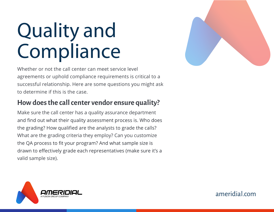### **Quality and Compliance**

Whether or not the call center can meet service level agreements or uphold compliance requirements is critical to a successful relationship. Here are some questions you might ask to determine if this is the case.

#### **How does the call center vendor ensure quality?**

Make sure the call center has a quality assurance department and find out what their quality assessment process is. Who does the grading? How qualified are the analysts to grade the calls? What are the grading criteria they employ? Can you customize the QA process to fit your program? And what sample size is drawn to effectively grade each representatives (make sure it's a valid sample size).



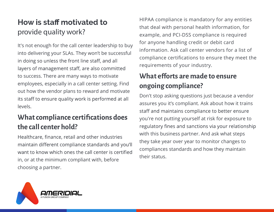#### How is staff motivated to **provide quality work?**

It's not enough for the call center leadership to buy into delivering your SLAs. They won't be successful in doing so unless the front line staff, and all layers of management staff, are also committed to success. There are many ways to motivate employees, especially in a call center setting. Find out how the vendor plans to reward and motivate its staff to ensure quality work is performed at all levels.

#### What compliance certifications does **the call center hold?**

Healthcare, finance, retail and other industries maintain different compliance standards and you'll want to know which ones the call center is certified in, or at the minimum compliant with, before choosing a partner.

HIPAA compliance is mandatory for any entities that deal with personal health information, for example, and PCI-DSS compliance is required for anyone handling credit or debit card information. Ask call center vendors for a list of compliance certifications to ensure they meet the requirements of your industry.

#### **What e�forts are made to ensure ongoing compliance?**

Don't stop asking questions just because a vendor assures you it's compliant. Ask about how it trains staff and maintains compliance to better ensure you're not putting yourself at risk for exposure to regulatory fines and sanctions via your relationship with this business partner. And ask what steps they take year over year to monitor changes to compliances standards and how they maintain their status.

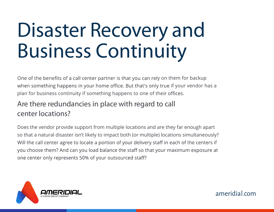### **Disaster Recovery and Business Continuity**

One of the benefits of a call center partner is that you can rely on them for backup when something happens in your home office. But that's only true if your vendor has a plan for business continuity if something happens to one of their offices.

#### **Are there redundancies in place with regard to call center locations?**

Does the vendor provide support from multiple locations and are they far enough apart so that a natural disaster isn't likely to impact both (or multiple) locations simultaneously? Will the call center agree to locate a portion of your delivery staff in each of the centers if you choose them? And can you load balance the staff so that your maximum exposure at one center only represents 50% of your outsourced staff?

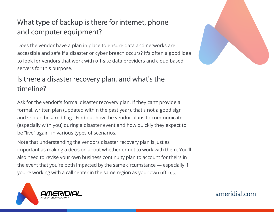#### **What type of backup is there for internet, phone and computer equipment?**

Does the vendor have a plan in place to ensure data and networks are accessible and safe if a disaster or cyber breach occurs? It's often a good idea to look for vendors that work with off-site data providers and cloud based servers for this purpose.

#### **Is there a disaster recovery plan, and what's the timeline?**

Ask for the vendor's formal disaster recovery plan. If they can't provide a formal, written plan (updated within the past year), that's not a good sign and should be a red flag. Find out how the vendor plans to communicate (especially with you) during a disaster event and how quickly they expect to be "live" again in various types of scenarios.

Note that understanding the vendors disaster recovery plan is just as important as making a decision about whether or not to work with them. You'll also need to revise your own business continuity plan to account for theirs in the event that you're both impacted by the same circumstance — especially if you're working with a call center in the same region as your own offices.



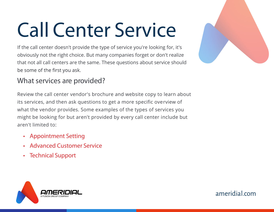# **Call Center Service**

If the call center doesn't provide the type of service you're looking for, it's obviously not the right choice. But many companies forget or don't realize that not all call centers are the same. These questions about service should be some of the first you ask.

#### **What services are provided?**

Review the call center vendor's brochure and website copy to learn about its services, and then ask questions to get a more specific overview of what the vendor provides. Some examples of the types of services you might be looking for but aren't provided by every call center include but aren't limited to:

- **• Appointment Setting**
- **• Advanced Customer Service**
- **• Technical Support**





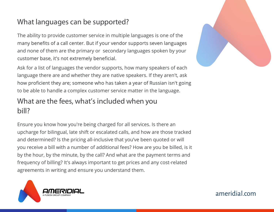#### **What languages can be supported?**

The ability to provide customer service in multiple languages is one of the many benefits of a call center. But if your vendor supports seven languages and none of them are the primary or secondary languages spoken by your customer base, it's not extremely beneficial.

Ask for a list of languages the vendor supports, how many speakers of each language there are and whether they are native speakers. If they aren't, ask how proficient they are; someone who has taken a year of Russian isn't going to be able to handle a complex customer service matter in the language.

#### **What are the fees, what's included when you bill?**

Ensure you know how you're being charged for all services. Is there an upcharge for bilingual, late shift or escalated calls, and how are those tracked and determined? Is the pricing all-inclusive that you've been quoted or will you receive a bill with a number of additional fees? How are you be billed, is it by the hour, by the minute, by the call? And what are the payment terms and frequency of billing? It's always important to get prices and any cost-related agreements in writing and ensure you understand them.



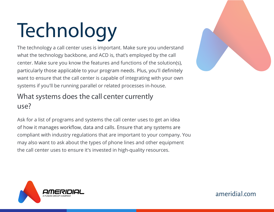# **Technology**

The technology a call center uses is important. Make sure you understand what the technology backbone, and ACD is, that's employed by the call center. Make sure you know the features and functions of the solution(s), particularly those applicable to your program needs. Plus, you'll definitely want to ensure that the call center is capable of integrating with your own systems if you'll be running parallel or related processes in-house.

#### **What systems does the call center currently use?**

Ask for a list of programs and systems the call center uses to get an idea of how it manages workflow, data and calls. Ensure that any systems are compliant with industry regulations that are important to your company. You may also want to ask about the types of phone lines and other equipment the call center uses to ensure it's invested in high-quality resources.



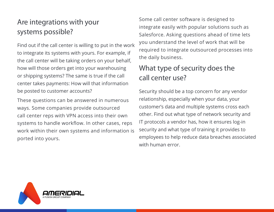#### **Are integrations with your systems possible?**

Find out if the call center is willing to put in the work to integrate its systems with yours. For example, if the call center will be taking orders on your behalf, how will those orders get into your warehousing or shipping systems? The same is true if the call center takes payments: How will that information be posted to customer accounts?

These questions can be answered in numerous ways. Some companies provide outsourced call center reps with VPN access into their own systems to handle workflow. In other cases, reps work within their own systems and information is ported into yours.

Some call center software is designed to integrate easily with popular solutions such as Salesforce. Asking questions ahead of time lets you understand the level of work that will be required to integrate outsourced processes into the daily business.

#### **What type of security does the call center use?**

Security should be a top concern for any vendor relationship, especially when your data, your customer's data and multiple systems cross each other. Find out what type of network security and IT protocols a vendor has, how it ensures log-in security and what type of training it provides to employees to help reduce data breaches associated with human error.

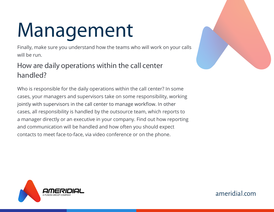# **Management**

Finally, make sure you understand how the teams who will work on your calls will be run.

#### **How are daily operations within the call center handled?**

Who is responsible for the daily operations within the call center? In some cases, your managers and supervisors take on some responsibility, working jointly with supervisors in the call center to manage workflow. In other cases, all responsibility is handled by the outsource team, which reports to a manager directly or an executive in your company. Find out how reporting and communication will be handled and how often you should expect contacts to meet face-to-face, via video conference or on the phone.



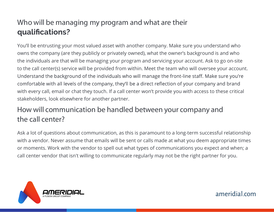#### **Who will be managing my program and what are their** qualifications?

You'll be entrusting your most valued asset with another company. Make sure you understand who owns the company (are they publicly or privately owned), what the owner's background is and who the individuals are that will be managing your program and servicing your account. Ask to go on-site to the call center(s) service will be provided from within. Meet the team who will oversee your account. Understand the background of the individuals who will manage the front-line staff. Make sure you're comfortable with all levels of the company, they'll be a direct reflection of your company and brand with every call, email or chat they touch. If a call center won't provide you with access to these critical stakeholders, look elsewhere for another partner.

#### **How will communication be handled between your company and the call center?**

Ask a lot of questions about communication, as this is paramount to a long-term successful relationship with a vendor. Never assume that emails will be sent or calls made at what you deem appropriate times or moments. Work with the vendor to spell out what types of communications you expect and when; a call center vendor that isn't willing to communicate regularly may not be the right partner for you.

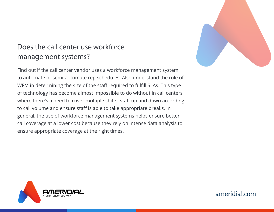#### **Does the call center use workforce management systems?**

Find out if the call center vendor uses a workforce management system to automate or semi-automate rep schedules. Also understand the role of WFM in determining the size of the staff required to fulfill SLAs. This type of technology has become almost impossible to do without in call centers where there's a need to cover multiple shifts, staff up and down according to call volume and ensure staff is able to take appropriate breaks. In general, the use of workforce management systems helps ensure better call coverage at a lower cost because they rely on intense data analysis to ensure appropriate coverage at the right times.